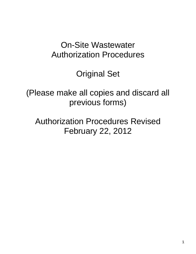# On-Site Wastewater Authorization Procedures

Original Set

(Please make all copies and discard all previous forms)

Authorization Procedures Revised February 22, 2012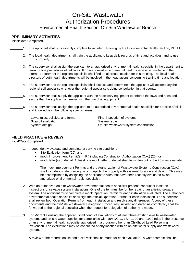## On-Site Wastewater Authorization Procedures Environmental Health Section, On-Site Wastewater Branch

#### **PRELIMINARY ACTIVITIES**

Initial/Date Completed

- 1. The applicant shall successfully complete Initial Intern Training by the Environmental Health Section, DHHS.
- 2. The local health department shall train the applicant to keep daily records of time and activities, and to use forms properly.
- 3. The supervisor shall assign the applicant to an authorized environmental health specialist in the department to learn routine procedures of fieldwork. If no authorized environmental health specialist is available in the interns' department the regional specialist shall find an alternate location for this training. The local health directors of both health departments will be involved in the negotiations concerning training time and location.
- $\_\_4$ . The supervisor and the regional specialist shall discuss and determine if the applicant will accompany the regional soil specialist whenever the regional specialist is doing consultation in that county.
- 5. The supervisor shall supply the applicant with the necessary equipment to enforce the laws and rules and assure that the applicant is familiar with the use of all equipment.
- 6. The supervisor shall assign the applicant to an authorized environmental health specialist for practice of skills and knowledge in the following specific areas:

Laws, rules, policies, and forms Final inspection of systems<br>Site/soil evaluation System repair Site/soil evaluation<br>System design

On-site wastewater system construction

#### **FIELD PRACTICE & REVIEW**

Initial/Date Completed

- 1. Independently evaluate and complete at varying site conditions
	- Site Evaluation form (20), and
	- mock Improvement Permit(s) (I.P.) including Construction Authorization (C.A.) (20), or
	- mock letter(s) of denial. At least one mock letter of denial shall be written out of the 20 sites evaluated.

The mock Improvement Permits and the Authorization of Wastewater Systems Construction (C.A.) shall include a scale drawing, which depicts the property with systems' location and design. This may be accomplished by assigning the applicant to sites that have been recently evaluated by an authorized environmental health specialist.

- 2. With an authorized on-site wastewater environmental health specialist present, conduct at least ten inspections of sewage system installations. One of the ten must be for the repair of an existing sewage system. The applicant must complete a mock Operation Permit for each installation evaluated. The authorized environmental health specialist shall sign the official Operation Permit for each installation. The supervisor shall review both Operation Permits from each installation and resolve any differences. A copy of these documents and the On-Site Wastewater Delegation Procedures, initialed and dated as completed, shall be forwarded to the regional specialist when the request for delegation of authority is made.
	- 3. For Migrant Housing, the applicant shall conduct evaluations of at least three existing on-site wastewater systems and on-site water supplies for compliance with 15A NCAC 18A .1700 and .1900 rules in the presence of an environmental health specialist authorized in a program other than Childhood Lead Poisoning Prevention. The evaluations may be conducted at any location with an on-site water supply and wastewater system.

A review of the records on file and a site visit shall be made for each evaluation. A water sample shall be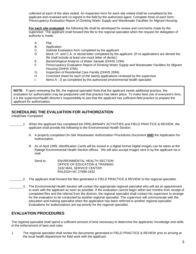collected at each of the sites visited. An inspection form for each site visited shall be completed by the applicant and reviewed and co-signed in the field by the authorized agent. Complete three of each form: *Preoccupancy Evaluation Report of Drinking Water Supply and Wastewater Facilities for Migrant Housing*.

**For each site evaluated**, the following file shall be developed for review and comments made by the supervisor. The applicant shall forward this file to the regional specialist when the request for delegation of authority is made:

- A. Plat
- B. Application
- C. Soil/site Evaluation form completed by the applicant
- D. Mock I.P. and C.A. or denial letter completed by the applicant. (If no applications are denied the file shall include at least one mock letter of denial.)
- E. *Bacteriological Analysis of Water Sample* (DHHS 1294)
- F. *Preoccupancy Evaluation Report of Drinking Water Supply and Wastewater Facilities for Migrant Housing* (DHHS 3765)
- G. *Inspection of Residential Care Facility* (DHHS 2094)
- H. Comment sheet for each of the twenty applications reviewed by the supervisor<br>I. Items A D as completed by the authorized environmental health specialist
- Items A D as completed by the authorized environmental health specialist

**NOTE**: If upon reviewing the file, the regional specialist finds that the applicant needs additional practice, the evaluation for authorization may be postponed until that practice has taken place. To make best use of everyone's time, it is the supervisor/health director's responsibility to see that the applicant has sufficient field practice to prepare the applicant for authorization.

#### **SCHEDULING THE EVALUATION FOR AUTHORIZATION**

Initial/Date Completed

1. When the applicant has completed the PRELIMINARY ACTIVITIES and FIELD PRACTICE & REVIEW, the applicant shall provide the following to the Environmental Health Section:

- A. A properly completed *On-Site Wastewater Authorization Procedur*es *Document* **AND** the Application for Authorization.
- B. As of April 1999, Identification Cards will be issued in a digital format Digital images can be taken at the Raleigh Environmental Health Section offices. We will also accept images sent in by the applicant via email.

Send to: ENVIRONMENTAL HEALTH SECTION OFFICE OF EDUCATION & TRAINING 1632 MAIL SERVICE CENTER RALEIGH NC 27699-1632

- 2. The applicant shall forward the files generated in FIELD PRACTICE & REVIEW to the regional specialist.
- 3. The Environmental Health Section will contact the appropriate regional specialist who will set an appointment to work with the applicant as soon as possible. If the evaluation cannot begin within two months from receipt of completed files and the referral from the division, the regional specialist shall contact his supervisor to arrange for the evaluation to be conducted by another regional specialist. The supervisor will communicate with the education and training specialist when the application has been referred to another regional specialist. Evaluations for authorizations are top priority for the regional specialist.

### **EVALUATION PROCEDURES**

The regional specialist shall spend a sufficient amount of time necessary to determine the applicants' knowledge and skills in the enforcement of laws and rules.

1. The regional specialist shall review the documents generated in FIELD PRACTICE & REVIEW prior to arriving at the local health department for field work with the applicant.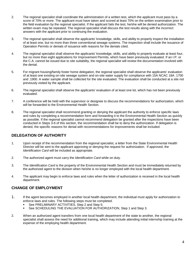- 2. The regional specialist shall coordinate the administration of a written test, which the applicant must pass by a score of 70% or more. The applicant must have taken and scored at least 70% on the written examination prior to the field evaluation by the regional specialist. If the applicant fails the test, he/she will be denied authorization. The written exam may be repeated. The regional specialist shall discuss the test results along with the incorrect answers with the applicant prior to continuing the evaluation.
- 3. The regional specialist shall observe the applicants' knowledge, skills, and ability to properly inspect the installation of at least one, but no more than three conventional sewage systems. The inspection shall include the issuance of Operation Permits or denials of issuance with reasons for the denials cited.
- 4. The regional specialist shall observe the applicants' knowledge, skills, and ability to properly evaluate at least four, but no more than eight applications for Improvement Permits, which have been previously evaluated. If an I.P. or the C.A. cannot be issued due to site suitability, the regional specialist will review the documentation involved with the denial.
- 5. For migrant housing/family foster home delegation, the regional specialist shall observe the applicants' evaluation of at least one existing on-site sewage system and on-site water supply for compliance with 15A NCAC 18A .1700 and .1900. A water sample shall be collected for the site evaluated. The evaluation shall be conducted at a site not previously visited by the applicant.
- 6. The regional specialist shall observe the applicants' evaluation of at least one lot, which has not been previously evaluated.
- 7. A conference will be held with the supervisor or designee to discuss the recommendations for authorization, which will be forwarded to the Environmental Health Section.
- 8. The regional specialist shall recommend granting or denying the applicant the authority to enforce specific laws and rules by completing a recommendation form and forwarding it to the Environmental Health Section as quickly as possible. If the regional specialist cannot recommend delegation be granted after the inspections have been conducted in Steps 3-6 of this section, the recommendation shall be to deny the authorization. If delegation is denied, the specific reasons for denial with recommendations for improvements shall be included.

#### **DELEGATION OF AUTHORITY**

- 1. Upon receipt of the recommendation from the regional specialist, a letter from the State Environmental Health Director will be sent to the applicant approving or denying the request for authorization. If approved, the *Identification Card* will be included as appropriate.
- 2. The authorized agent must carry the *Identification Card* while on duty.
- 3. The *Identification Card* is the property of the Environmental Health Section and must be immediately returned by the authorized agent to the division when he/she is no longer employed with the local health department.
- 4. The applicant may begin to enforce laws and rules when the letter of authorization is received in the local health department.

#### **CHANGE OF EMPLOYMENT**

- 1. If the agent becomes employed in another local health department, the individual must apply for authorization to enforce laws and rules. The following steps must be completed.
	- See PRELIMINARY ACTIVITIES, Step 2 and Step 5;
	- See SCHEDULING THE EVALUATION FOR AUTHORIZATION, Step 1 and Step 3.
- 2. When an authorized agent transfers from one local health department of the state to another, the regional specialist shall assess the need for additional training, which may include attending initial internship training at the expense of the employing health department.